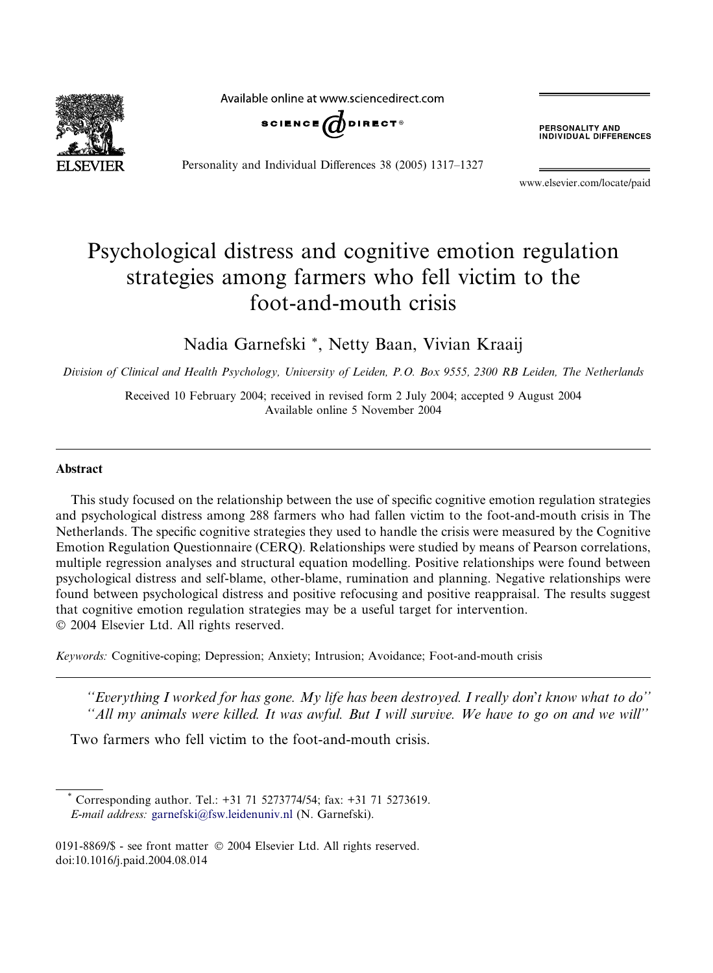Available online at www.sciencedirect.com



Personality and Individual Differences 38 (2005) 1317–1327

**PERSONALITY AND<br>INDIVIDUAL DIFFERENCES** 

www.elsevier.com/locate/paid

## Psychological distress and cognitive emotion regulation strategies among farmers who fell victim to the foot-and-mouth crisis

Nadia Garnefski \*, Netty Baan, Vivian Kraaij

Division of Clinical and Health Psychology, University of Leiden, P.O. Box 9555, 2300 RB Leiden, The Netherlands

Received 10 February 2004; received in revised form 2 July 2004; accepted 9 August 2004 Available online 5 November 2004

## Abstract

This study focused on the relationship between the use of specific cognitive emotion regulation strategies and psychological distress among 288 farmers who had fallen victim to the foot-and-mouth crisis in The Netherlands. The specific cognitive strategies they used to handle the crisis were measured by the Cognitive Emotion Regulation Questionnaire (CERQ). Relationships were studied by means of Pearson correlations, multiple regression analyses and structural equation modelling. Positive relationships were found between psychological distress and self-blame, other-blame, rumination and planning. Negative relationships were found between psychological distress and positive refocusing and positive reappraisal. The results suggest that cognitive emotion regulation strategies may be a useful target for intervention. 2004 Elsevier Ltd. All rights reserved.

Keywords: Cognitive-coping; Depression; Anxiety; Intrusion; Avoidance; Foot-and-mouth crisis

"Everything I worked for has gone. My life has been destroyed. I really don't know what to do" ''All my animals were killed. It was awful. But I will survive. We have to go on and we will''

Two farmers who fell victim to the foot-and-mouth crisis.

Corresponding author. Tel.: +31 71 5273774/54; fax: +31 71 5273619. E-mail address: [garnefski@fsw.leidenuniv.nl](mailto:garnefski@fsw.leidenuniv.nl ) (N. Garnefski).

0191-8869/\$ - see front matter © 2004 Elsevier Ltd. All rights reserved. doi:10.1016/j.paid.2004.08.014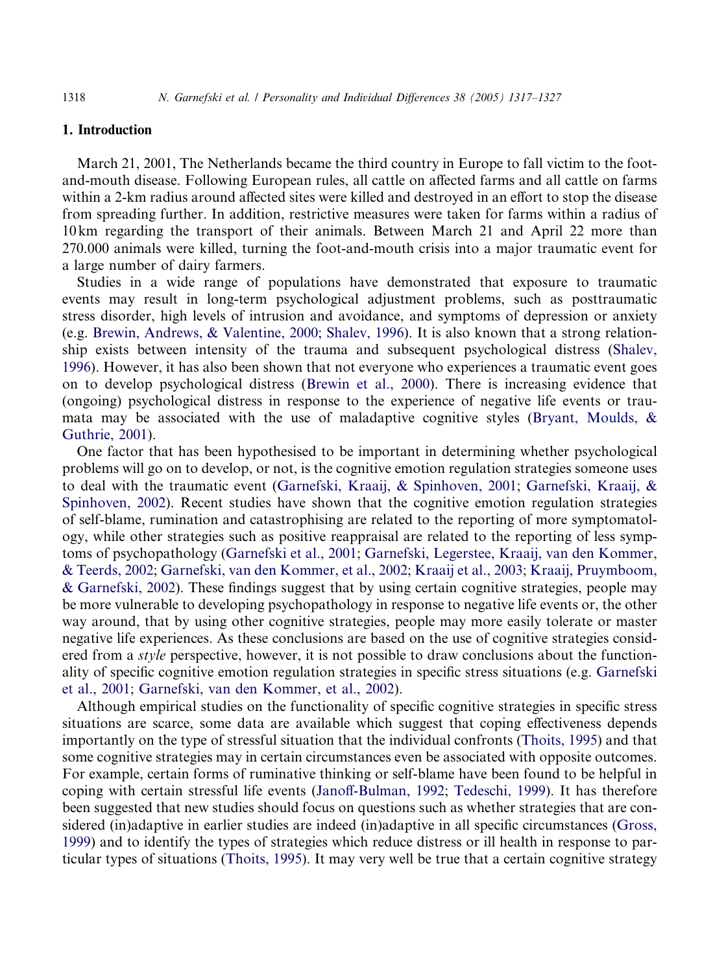## 1. Introduction

March 21, 2001, The Netherlands became the third country in Europe to fall victim to the footand-mouth disease. Following European rules, all cattle on affected farms and all cattle on farms within a 2-km radius around affected sites were killed and destroyed in an effort to stop the disease from spreading further. In addition, restrictive measures were taken for farms within a radius of 10 km regarding the transport of their animals. Between March 21 and April 22 more than 270.000 animals were killed, turning the foot-and-mouth crisis into a major traumatic event for a large number of dairy farmers.

Studies in a wide range of populations have demonstrated that exposure to traumatic events may result in long-term psychological adjustment problems, such as posttraumatic stress disorder, high levels of intrusion and avoidance, and symptoms of depression or anxiety (e.g. [Brewin, Andrews, & Valentine, 2000;](#page--1-0) [Shalev, 1996](#page--1-0)). It is also known that a strong relationship exists between intensity of the trauma and subsequent psychological distress ([Shalev,](#page--1-0) [1996](#page--1-0)). However, it has also been shown that not everyone who experiences a traumatic event goes on to develop psychological distress ([Brewin et al., 2000](#page--1-0)). There is increasing evidence that (ongoing) psychological distress in response to the experience of negative life events or traumata may be associated with the use of maladaptive cognitive styles ([Bryant, Moulds, &](#page--1-0) [Guthrie, 2001\)](#page--1-0).

One factor that has been hypothesised to be important in determining whether psychological problems will go on to develop, or not, is the cognitive emotion regulation strategies someone uses to deal with the traumatic event ([Garnefski, Kraaij, & Spinhoven, 2001;](#page--1-0) [Garnefski, Kraaij, &](#page--1-0) [Spinhoven, 2002](#page--1-0)). Recent studies have shown that the cognitive emotion regulation strategies of self-blame, rumination and catastrophising are related to the reporting of more symptomatology, while other strategies such as positive reappraisal are related to the reporting of less symptoms of psychopathology [\(Garnefski et al., 2001;](#page--1-0) [Garnefski, Legerstee, Kraaij, van den Kommer,](#page--1-0) [& Teerds, 2002](#page--1-0); [Garnefski, van den Kommer, et al., 2002](#page--1-0); [Kraaij et al., 2003](#page--1-0); [Kraaij, Pruymboom,](#page--1-0) [& Garnefski, 2002\)](#page--1-0). These findings suggest that by using certain cognitive strategies, people may be more vulnerable to developing psychopathology in response to negative life events or, the other way around, that by using other cognitive strategies, people may more easily tolerate or master negative life experiences. As these conclusions are based on the use of cognitive strategies considered from a *style* perspective, however, it is not possible to draw conclusions about the functionality of specific cognitive emotion regulation strategies in specific stress situations (e.g. [Garnefski](#page--1-0) [et al., 2001](#page--1-0); [Garnefski, van den Kommer, et al., 2002\)](#page--1-0).

Although empirical studies on the functionality of specific cognitive strategies in specific stress situations are scarce, some data are available which suggest that coping effectiveness depends importantly on the type of stressful situation that the individual confronts [\(Thoits, 1995](#page--1-0)) and that some cognitive strategies may in certain circumstances even be associated with opposite outcomes. For example, certain forms of ruminative thinking or self-blame have been found to be helpful in coping with certain stressful life events ([Janoff-Bulman, 1992](#page--1-0); [Tedeschi, 1999\)](#page--1-0). It has therefore been suggested that new studies should focus on questions such as whether strategies that are considered (in)adaptive in earlier studies are indeed (in)adaptive in all specific circumstances [\(Gross,](#page--1-0) [1999](#page--1-0)) and to identify the types of strategies which reduce distress or ill health in response to particular types of situations [\(Thoits, 1995\)](#page--1-0). It may very well be true that a certain cognitive strategy